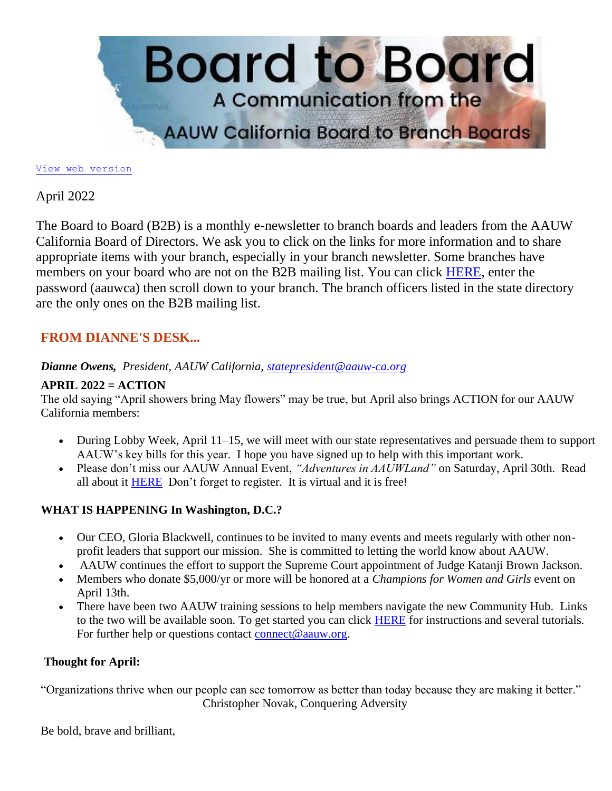

[View web version](https://bor.aauw-ca.org/sendy/w/892iUf2Z3Hxblitd0dEvE47A/wVU892892Xu9PNq3IbigHQrC7A/Qsa6ChFBGqwOTN0VFf7637Mw)

## April 2022

The Board to Board (B2B) is a monthly e-newsletter to branch boards and leaders from the AAUW California Board of Directors. We ask you to click on the links for more information and to share appropriate items with your branch, especially in your branch newsletter. Some branches have members on your board who are not on the B2B mailing list. You can click [HERE,](https://bor.aauw-ca.org/sendy/l/892iUf2Z3Hxblitd0dEvE47A/u4tN23PhuCxyYHHjF8923lwA/Qsa6ChFBGqwOTN0VFf7637Mw) enter the password (aauwca) then scroll down to your branch. The branch officers listed in the state directory are the only ones on the B2B mailing list.

## **FROM DIANNE'S DESK...**

### *Dianne Owens, President, AAUW California, [statepresident@aauw-ca.org](mailto:statepresident@aauw-ca.org)*

### **APRIL 2022 = ACTION**

The old saying "April showers bring May flowers" may be true, but April also brings ACTION for our AAUW California members:

- During Lobby Week, April 11–15, we will meet with our state representatives and persuade them to support AAUW's key bills for this year. I hope you have signed up to help with this important work.
- Please don't miss our AAUW Annual Event, *"Adventures in AAUWLand"* on Saturday, April 30th. Read all about it [HERE](https://bor.aauw-ca.org/sendy/l/892iUf2Z3Hxblitd0dEvE47A/D8i2qJkxihFiMvNOYjp7ng/Qsa6ChFBGqwOTN0VFf7637Mw) Don't forget to register. It is virtual and it is free!

### **WHAT IS HAPPENING In Washington, D.C.?**

- Our CEO, Gloria Blackwell, continues to be invited to many events and meets regularly with other nonprofit leaders that support our mission. She is committed to letting the world know about AAUW.
- AAUW continues the effort to support the Supreme Court appointment of Judge Katanji Brown Jackson.
- Members who donate \$5,000/yr or more will be honored at a *Champions for Women and Girls* event on April 13th.
- There have been two AAUW training sessions to help members navigate the new Community Hub. Links to the two will be available soon. To get started you can click [HERE](https://bor.aauw-ca.org/sendy/l/892iUf2Z3Hxblitd0dEvE47A/yDDxYkF02Uvwa8eYsG3EIw/Qsa6ChFBGqwOTN0VFf7637Mw) for instructions and several tutorials. For further help or questions contact [connect@aauw.org.](mailto:connect@aauw.org)

### **Thought for April:**

"Organizations thrive when our people can see tomorrow as better than today because they are making it better." Christopher Novak, Conquering Adversity

Be bold, brave and brilliant,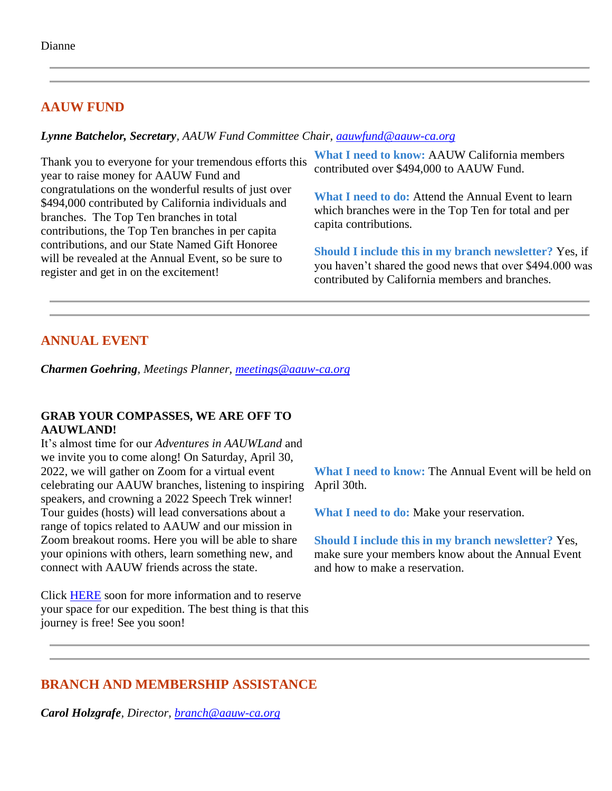# **AAUW FUND**

#### *Lynne Batchelor, Secretary, AAUW Fund Committee Chair, [aauwfund@aauw-ca.org](mailto:aauwfund@aauw-ca.org)*

Thank you to everyone for your tremendous efforts this year to raise money for AAUW Fund and congratulations on the wonderful results of just over \$494,000 contributed by California individuals and branches. The Top Ten branches in total contributions, the Top Ten branches in per capita contributions, and our State Named Gift Honoree will be revealed at the Annual Event, so be sure to register and get in on the excitement!

**What I need to know:** AAUW California members contributed over \$494,000 to AAUW Fund.

**What I need to do:** Attend the Annual Event to learn which branches were in the Top Ten for total and per capita contributions.

**Should I include this in my branch newsletter?** Yes, if you haven't shared the good news that over \$494.000 was contributed by California members and branches.

# **ANNUAL EVENT**

*Charmen Goehring, Meetings Planner, [meetings@aauw-ca.org](mailto:meetings@aauw-ca.org)*

#### **GRAB YOUR COMPASSES, WE ARE OFF TO AAUWLAND!**

It's almost time for our *Adventures in AAUWLand* and we invite you to come along! On Saturday, April 30, 2022, we will gather on Zoom for a virtual event celebrating our AAUW branches, listening to inspiring speakers, and crowning a 2022 Speech Trek winner! Tour guides (hosts) will lead conversations about a range of topics related to AAUW and our mission in Zoom breakout rooms. Here you will be able to share your opinions with others, learn something new, and connect with AAUW friends across the state.

Click [HERE](https://bor.aauw-ca.org/sendy/l/892iUf2Z3Hxblitd0dEvE47A/D8i2qJkxihFiMvNOYjp7ng/Qsa6ChFBGqwOTN0VFf7637Mw) soon for more information and to reserve your space for our expedition. The best thing is that this journey is free! See you soon!

**What I need to know:** The Annual Event will be held on April 30th.

**What I need to do:** Make your reservation.

**Should I include this in my branch newsletter?** Yes, make sure your members know about the Annual Event and how to make a reservation.

# **BRANCH AND MEMBERSHIP ASSISTANCE**

*Carol Holzgrafe, Director, [branch@aauw-ca.org](mailto:branch@aauw-ca.org)*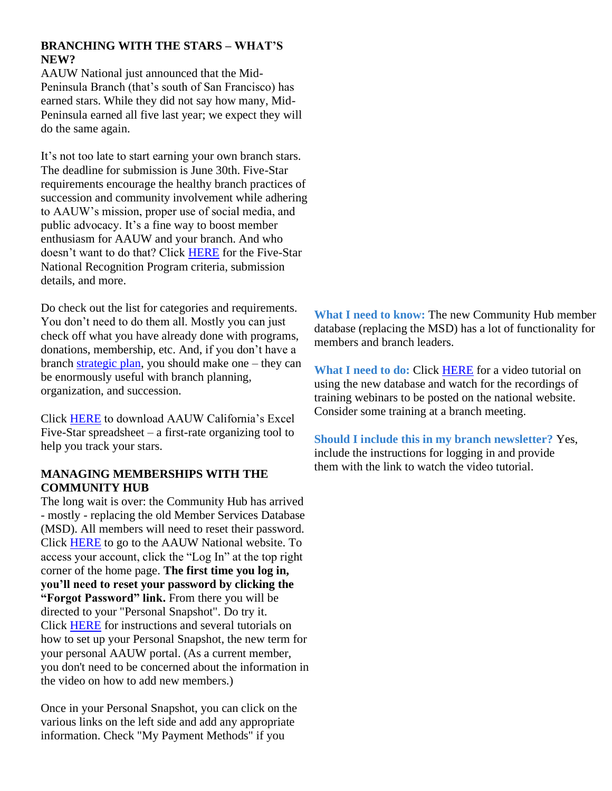### **BRANCHING WITH THE STARS – WHAT'S NEW?**

AAUW National just announced that the Mid-Peninsula Branch (that's south of San Francisco) has earned stars. While they did not say how many, Mid-Peninsula earned all five last year; we expect they will do the same again.

It's not too late to start earning your own branch stars. The deadline for submission is June 30th. Five-Star requirements encourage the healthy branch practices of succession and community involvement while adhering to AAUW's mission, proper use of social media, and public advocacy. It's a fine way to boost member enthusiasm for AAUW and your branch. And who doesn't want to do that? Click [HERE](https://bor.aauw-ca.org/sendy/l/892iUf2Z3Hxblitd0dEvE47A/vD763VLhCez6fO892J6MbVDzAg/Qsa6ChFBGqwOTN0VFf7637Mw) for the Five-Star National Recognition Program criteria, submission details, and more.

Do check out the list for categories and requirements. You don't need to do them all. Mostly you can just check off what you have already done with programs, donations, membership, etc. And, if you don't have a branch [strategic plan,](https://bor.aauw-ca.org/sendy/l/892iUf2Z3Hxblitd0dEvE47A/7lEh6njZ3E5M49Ac3XGGzw/Qsa6ChFBGqwOTN0VFf7637Mw) you should make one – they can be enormously useful with branch planning, organization, and succession.

Click [HERE](https://bor.aauw-ca.org/sendy/l/892iUf2Z3Hxblitd0dEvE47A/0t1byB763tNlIo5Cfwef99Eg/Qsa6ChFBGqwOTN0VFf7637Mw) to download AAUW California's Excel Five-Star spreadsheet – a first-rate organizing tool to help you track your stars.

#### **MANAGING MEMBERSHIPS WITH THE COMMUNITY HUB**

The long wait is over: the Community Hub has arrived - mostly - replacing the old Member Services Database (MSD). All members will need to reset their password. Click [HERE](https://bor.aauw-ca.org/sendy/l/892iUf2Z3Hxblitd0dEvE47A/0ueVFQEm2YtwLlLNTCWdfw/Qsa6ChFBGqwOTN0VFf7637Mw) to go to the AAUW National website. To access your account, click the "Log In" at the top right corner of the home page. **The first time you log in, you'll need to reset your password by clicking the "Forgot Password" link.** From there you will be directed to your "Personal Snapshot". Do try it. Click [HERE](https://bor.aauw-ca.org/sendy/l/892iUf2Z3Hxblitd0dEvE47A/yDDxYkF02Uvwa8eYsG3EIw/Qsa6ChFBGqwOTN0VFf7637Mw) for instructions and several tutorials on how to set up your Personal Snapshot, the new term for your personal AAUW portal. (As a current member, you don't need to be concerned about the information in the video on how to add new members.)

Once in your Personal Snapshot, you can click on the various links on the left side and add any appropriate information. Check "My Payment Methods" if you

**What I need to know:** The new Community Hub member database (replacing the MSD) has a lot of functionality for members and branch leaders.

**What I need to do:** Click [HERE](https://bor.aauw-ca.org/sendy/l/892iUf2Z3Hxblitd0dEvE47A/yDDxYkF02Uvwa8eYsG3EIw/Qsa6ChFBGqwOTN0VFf7637Mw) for a video tutorial on using the new database and watch for the recordings of training webinars to be posted on the national website. Consider some training at a branch meeting.

**Should I include this in my branch newsletter?** Yes, include the instructions for logging in and provide them with the link to watch the video tutorial.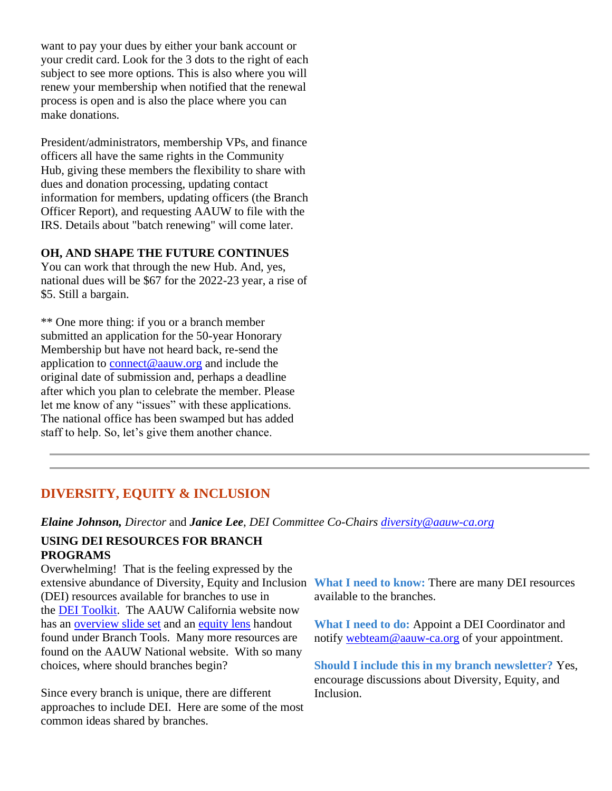want to pay your dues by either your bank account or your credit card. Look for the 3 dots to the right of each subject to see more options. This is also where you will renew your membership when notified that the renewal process is open and is also the place where you can make donations.

President/administrators, membership VPs, and finance officers all have the same rights in the Community Hub, giving these members the flexibility to share with dues and donation processing, updating contact information for members, updating officers (the Branch Officer Report), and requesting AAUW to file with the IRS. Details about "batch renewing" will come later.

#### **OH, AND SHAPE THE FUTURE CONTINUES**

You can work that through the new Hub. And, yes, national dues will be \$67 for the 2022-23 year, a rise of \$5. Still a bargain.

\*\* One more thing: if you or a branch member submitted an application for the 50-year Honorary Membership but have not heard back, re-send the application to [connect@aauw.org](mailto:connect@aauw.org) and include the original date of submission and, perhaps a deadline after which you plan to celebrate the member. Please let me know of any "issues" with these applications. The national office has been swamped but has added staff to help. So, let's give them another chance.

## **DIVERSITY, EQUITY & INCLUSION**

*Elaine Johnson, Director* and *Janice Lee*, *DEI Committee Co-Chairs [diversity@aauw-ca.org](mailto:diversity@aauw-ca.org)*

#### **USING DEI RESOURCES FOR BRANCH PROGRAMS**

Overwhelming! That is the feeling expressed by the extensive abundance of Diversity, Equity and Inclusion **What I need to know:** There are many DEI resources (DEI) resources available for branches to use in the [DEI Toolkit.](https://bor.aauw-ca.org/sendy/l/892iUf2Z3Hxblitd0dEvE47A/ND3pzEatz8YrXPWfHneB9g/Qsa6ChFBGqwOTN0VFf7637Mw) The AAUW California website now has an [overview slide set](https://bor.aauw-ca.org/sendy/l/892iUf2Z3Hxblitd0dEvE47A/GmdLiYsQfEChNfaNmN4a0Q/Qsa6ChFBGqwOTN0VFf7637Mw) and an [equity lens](https://bor.aauw-ca.org/sendy/l/892iUf2Z3Hxblitd0dEvE47A/CDMxJvWOOosFoqnDpOwYug/Qsa6ChFBGqwOTN0VFf7637Mw) handout found under Branch Tools. Many more resources are found on the AAUW National website. With so many choices, where should branches begin?

Since every branch is unique, there are different approaches to include DEI. Here are some of the most common ideas shared by branches.

available to the branches.

**What I need to do:** Appoint a DEI Coordinator and notify [webteam@aauw-ca.org](mailto:webteam@aauw-ca.org) of your appointment.

**Should I include this in my branch newsletter?** Yes, encourage discussions about Diversity, Equity, and Inclusion.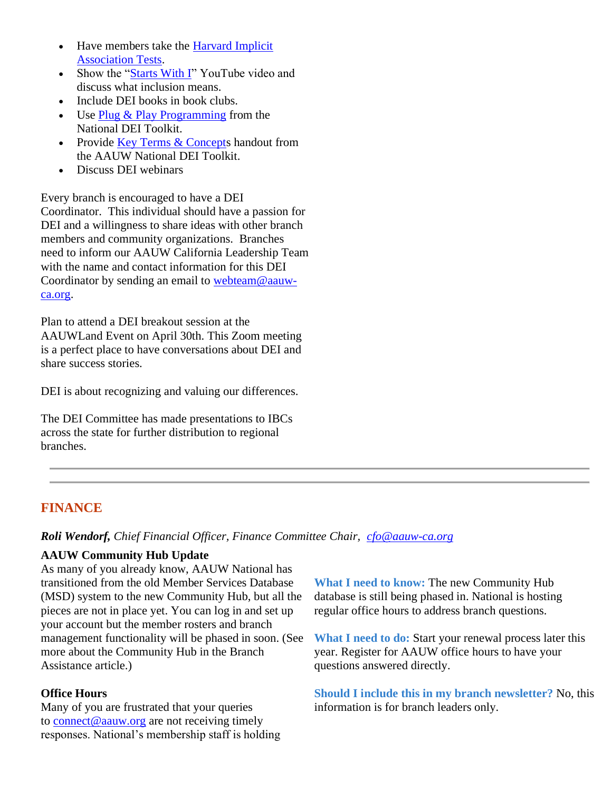- Have members take the Harvard Implicit [Association Tests.](https://bor.aauw-ca.org/sendy/l/892iUf2Z3Hxblitd0dEvE47A/XVoyv7638oTLwML7N8XJna5A/Qsa6ChFBGqwOTN0VFf7637Mw)
- Show the ["Starts With I"](https://bor.aauw-ca.org/sendy/l/892iUf2Z3Hxblitd0dEvE47A/IZAKWjNvf6uHGBEp2HuavQ/Qsa6ChFBGqwOTN0VFf7637Mw) YouTube video and discuss what inclusion means.
- Include DEI books in book clubs.
- Use [Plug & Play Programming](https://bor.aauw-ca.org/sendy/l/892iUf2Z3Hxblitd0dEvE47A/ld87dQe6ZZ9hcOCrRJTP3g/Qsa6ChFBGqwOTN0VFf7637Mw) from the National DEI Toolkit.
- Provide [Key Terms & Concepts](https://bor.aauw-ca.org/sendy/l/892iUf2Z3Hxblitd0dEvE47A/A4x8922XxRy1drL4DBiOV892Aw/Qsa6ChFBGqwOTN0VFf7637Mw) handout from the AAUW National DEI Toolkit.
- Discuss DEI webinars

Every branch is encouraged to have a DEI Coordinator. This individual should have a passion for DEI and a willingness to share ideas with other branch members and community organizations. Branches need to inform our AAUW California Leadership Team with the name and contact information for this DEI Coordinator by sending an email to [webteam@aauw](mailto:webteam@aauw-ca.org)[ca.org.](mailto:webteam@aauw-ca.org)

Plan to attend a DEI breakout session at the AAUWLand Event on April 30th. This Zoom meeting is a perfect place to have conversations about DEI and share success stories.

DEI is about recognizing and valuing our differences.

The DEI Committee has made presentations to IBCs across the state for further distribution to regional branches.

# **FINANCE**

*Roli Wendorf, Chief Financial Officer, Finance Committee Chair, [cfo@aauw-ca.org](mailto:cfo@aauw-ca.org)*

### **AAUW Community Hub Update**

As many of you already know, AAUW National has transitioned from the old Member Services Database (MSD) system to the new Community Hub, but all the pieces are not in place yet. You can log in and set up your account but the member rosters and branch management functionality will be phased in soon. (See more about the Community Hub in the Branch Assistance article.)

### **Office Hours**

Many of you are frustrated that your queries to [connect@aauw.org](mailto:connect@aauw.org) are not receiving timely responses. National's membership staff is holding **What I need to know:** The new Community Hub database is still being phased in. National is hosting regular office hours to address branch questions.

**What I need to do:** Start your renewal process later this year. Register for AAUW office hours to have your questions answered directly.

**Should I include this in my branch newsletter?** No, this information is for branch leaders only.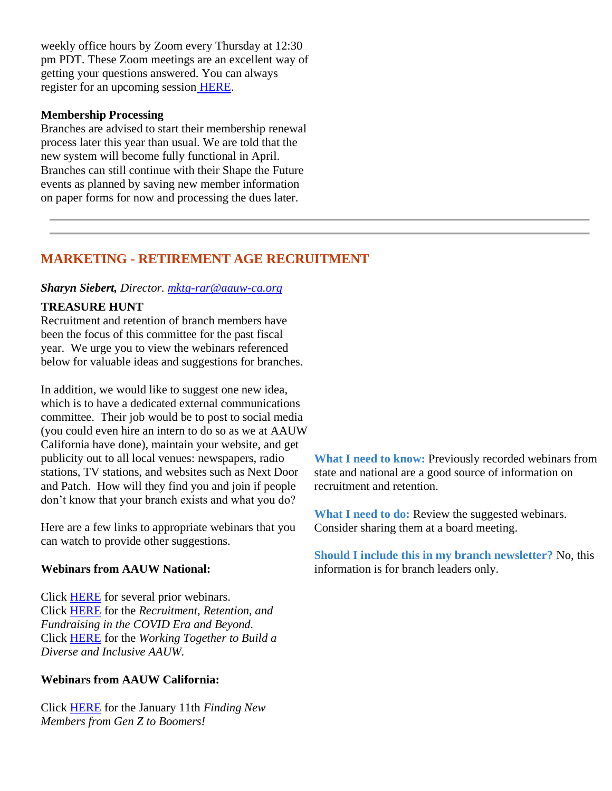weekly office hours by Zoom every Thursday at 12:30 pm PDT. These Zoom meetings are an excellent way of getting your questions answered. You can always register for an upcoming session [HERE.](https://bor.aauw-ca.org/sendy/l/892iUf2Z3Hxblitd0dEvE47A/Z2i1cH892aA323ZIzXp2UJLg/Qsa6ChFBGqwOTN0VFf7637Mw)

#### **Membership Processing**

Branches are advised to start their membership renewal process later this year than usual. We are told that the new system will become fully functional in April. Branches can still continue with their Shape the Future events as planned by saving new member information on paper forms for now and processing the dues later.

# **MARKETING - RETIREMENT AGE RECRUITMENT**

#### *Sharyn Siebert, Director. [mktg-rar@aauw-ca.org](mailto:mktg-rar@aauw-ca.org)*

### **TREASURE HUNT**

Recruitment and retention of branch members have been the focus of this committee for the past fiscal year. We urge you to view the webinars referenced below for valuable ideas and suggestions for branches.

In addition, we would like to suggest one new idea, which is to have a dedicated external communications committee. Their job would be to post to social media (you could even hire an intern to do so as we at AAUW California have done), maintain your website, and get publicity out to all local venues: newspapers, radio stations, TV stations, and websites such as Next Door and Patch. How will they find you and join if people don't know that your branch exists and what you do?

Here are a few links to appropriate webinars that you can watch to provide other suggestions.

### **Webinars from AAUW National:**

Click [HERE](https://bor.aauw-ca.org/sendy/l/892iUf2Z3Hxblitd0dEvE47A/WAzv6huMCy1dEdufgDQosQ/Qsa6ChFBGqwOTN0VFf7637Mw) for several prior webinars. Click [HERE](https://bor.aauw-ca.org/sendy/l/892iUf2Z3Hxblitd0dEvE47A/eZvYsqQREVyubVynJ8UT9Q/Qsa6ChFBGqwOTN0VFf7637Mw) for the *Recruitment, Retention, and Fundraising in the COVID Era and Beyond.* Click [HERE](https://bor.aauw-ca.org/sendy/l/892iUf2Z3Hxblitd0dEvE47A/uX5wa04TA5s892HbVlWMsVkQ/Qsa6ChFBGqwOTN0VFf7637Mw) for the *Working Together to Build a Diverse and Inclusive AAUW.*

### **Webinars from AAUW California:**

Click [HERE](https://bor.aauw-ca.org/sendy/l/892iUf2Z3Hxblitd0dEvE47A/mCRmQ6XGpNDnp3cTEl892wCw/Qsa6ChFBGqwOTN0VFf7637Mw) for the January 11th *Finding New Members from Gen Z to Boomers!*

**What I need to know:** Previously recorded webinars from state and national are a good source of information on recruitment and retention.

**What I need to do:** Review the suggested webinars. Consider sharing them at a board meeting.

**Should I include this in my branch newsletter?** No, this information is for branch leaders only.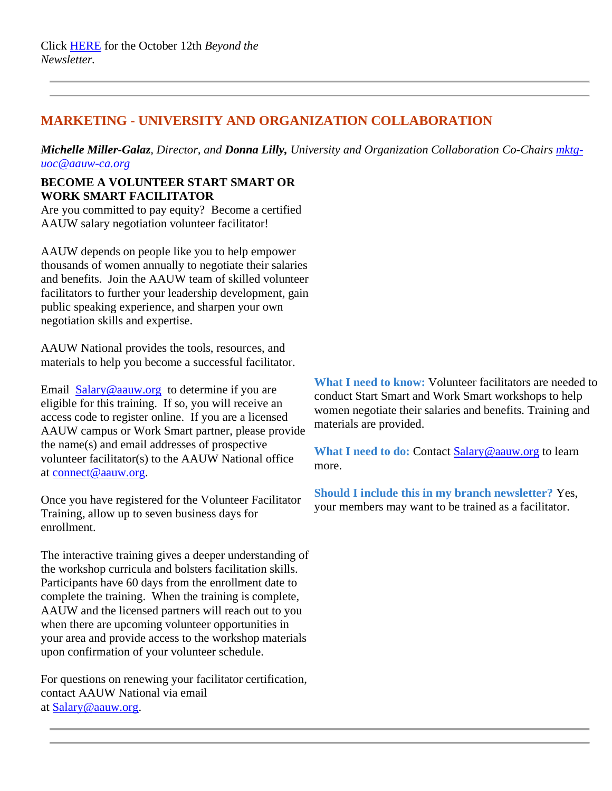# **MARKETING - UNIVERSITY AND ORGANIZATION COLLABORATION**

*Michelle Miller-Galaz, Director, and Donna Lilly, University and Organization Collaboration Co-Chairs [mktg](mailto:mktg-uoc@aauw-ca.org)[uoc@aauw-ca.org](mailto:mktg-uoc@aauw-ca.org)*

### **BECOME A VOLUNTEER START SMART OR WORK SMART FACILITATOR**

Are you committed to pay equity? Become a certified AAUW salary negotiation volunteer facilitator!

AAUW depends on people like you to help empower thousands of women annually to negotiate their salaries and benefits. Join the AAUW team of skilled volunteer facilitators to further your leadership development, gain public speaking experience, and sharpen your own negotiation skills and expertise.

AAUW National provides the tools, resources, and materials to help you become a successful facilitator.

Email [Salary@aauw.org](mailto:Salary@aauw.org) to determine if you are eligible for this training. If so, you will receive an access code to register online. If you are a licensed AAUW campus or Work Smart partner, please provide the name(s) and email addresses of prospective volunteer facilitator(s) to the AAUW National office at [connect@aauw.org.](mailto:connect@aauw.org)

Once you have registered for the Volunteer Facilitator Training, allow up to seven business days for enrollment.

The interactive training gives a deeper understanding of the workshop curricula and bolsters facilitation skills. Participants have 60 days from the enrollment date to complete the training. When the training is complete, AAUW and the licensed partners will reach out to you when there are upcoming volunteer opportunities in your area and provide access to the workshop materials upon confirmation of your volunteer schedule.

For questions on renewing your facilitator certification, contact AAUW National via email at [Salary@aauw.org.](mailto:Salary@aauw.org)

**What I need to know:** Volunteer facilitators are needed to conduct Start Smart and Work Smart workshops to help women negotiate their salaries and benefits. Training and materials are provided.

**What I need to do:** Contact [Salary@aauw.org](mailto:Salary@aauw.org) to learn more.

**Should I include this in my branch newsletter?** Yes, your members may want to be trained as a facilitator.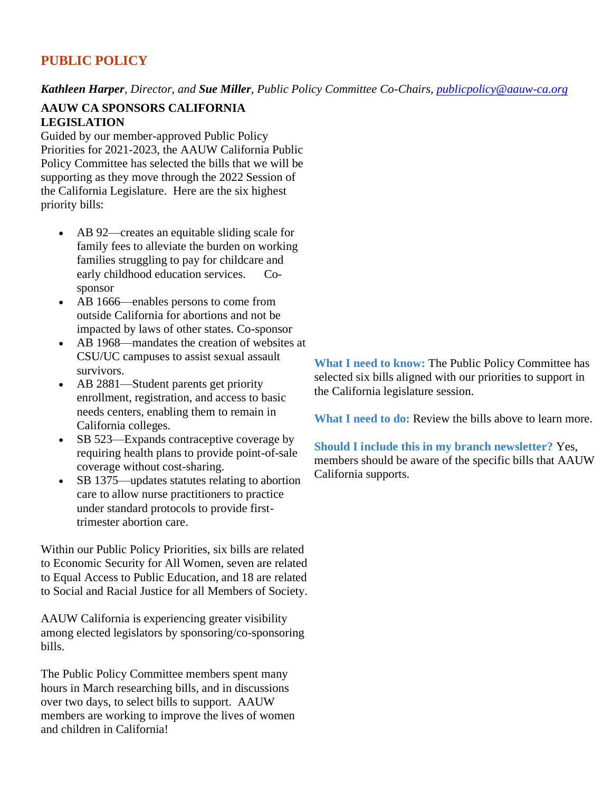# **PUBLIC POLICY**

*Kathleen Harper, Director, and Sue Miller, Public Policy Committee Co-Chairs, [publicpolicy@aauw-ca.org](mailto:PublicPolicy@aauw-ca.org)*

#### **AAUW CA SPONSORS CALIFORNIA LEGISLATION**

Guided by our member-approved Public Policy Priorities for 2021-2023, the AAUW California Public Policy Committee has selected the bills that we will be supporting as they move through the 2022 Session of the California Legislature. Here are the six highest priority bills:

- AB 92—creates an equitable sliding scale for family fees to alleviate the burden on working families struggling to pay for childcare and early childhood education services. Cosponsor
- AB 1666—enables persons to come from outside California for abortions and not be impacted by laws of other states. Co-sponsor
- AB 1968—mandates the creation of websites at CSU/UC campuses to assist sexual assault survivors.
- AB 2881—Student parents get priority enrollment, registration, and access to basic needs centers, enabling them to remain in California colleges.
- SB 523—Expands contraceptive coverage by requiring health plans to provide point-of-sale coverage without cost-sharing.
- SB 1375—updates statutes relating to abortion care to allow nurse practitioners to practice under standard protocols to provide firsttrimester abortion care.

Within our Public Policy Priorities, six bills are related to Economic Security for All Women, seven are related to Equal Access to Public Education, and 18 are related to Social and Racial Justice for all Members of Society.

AAUW California is experiencing greater visibility among elected legislators by sponsoring/co-sponsoring bills.

The Public Policy Committee members spent many hours in March researching bills, and in discussions over two days, to select bills to support. AAUW members are working to improve the lives of women and children in California!

**What I need to know:** The Public Policy Committee has selected six bills aligned with our priorities to support in the California legislature session.

**What I need to do:** Review the bills above to learn more.

**Should I include this in my branch newsletter?** Yes, members should be aware of the specific bills that AAUW California supports.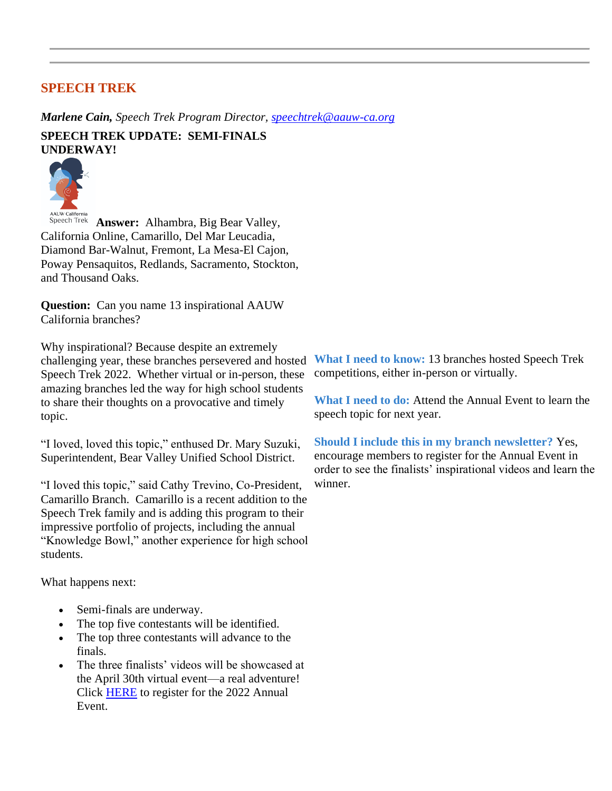### **SPEECH TREK**

*Marlene Cain, Speech Trek Program Director, [speechtrek@aauw-ca.org](mailto:speechtrek@aauw-ca.org)*

**SPEECH TREK UPDATE: SEMI-FINALS UNDERWAY!**



Speech Trek **Answer:** Alhambra, Big Bear Valley, California Online, Camarillo, Del Mar Leucadia, Diamond Bar-Walnut, Fremont, La Mesa-El Cajon, Poway Pensaquitos, Redlands, Sacramento, Stockton, and Thousand Oaks.

**Question:** Can you name 13 inspirational AAUW California branches?

Why inspirational? Because despite an extremely challenging year, these branches persevered and hosted Speech Trek 2022. Whether virtual or in-person, these amazing branches led the way for high school students to share their thoughts on a provocative and timely topic.

"I loved, loved this topic," enthused Dr. Mary Suzuki, Superintendent, Bear Valley Unified School District.

"I loved this topic," said Cathy Trevino, Co-President, Camarillo Branch. Camarillo is a recent addition to the Speech Trek family and is adding this program to their impressive portfolio of projects, including the annual "Knowledge Bowl," another experience for high school students.

What happens next:

- Semi-finals are underway.
- The top five contestants will be identified.
- The top three contestants will advance to the finals.
- The three finalists' videos will be showcased at the April 30th virtual event—a real adventure! Click [HERE](https://bor.aauw-ca.org/sendy/l/892iUf2Z3Hxblitd0dEvE47A/D8i2qJkxihFiMvNOYjp7ng/Qsa6ChFBGqwOTN0VFf7637Mw) to register for the 2022 Annual Event.

**What I need to know:** 13 branches hosted Speech Trek competitions, either in-person or virtually.

**What I need to do:** Attend the Annual Event to learn the speech topic for next year.

**Should I include this in my branch newsletter?** Yes, encourage members to register for the Annual Event in order to see the finalists' inspirational videos and learn the winner.